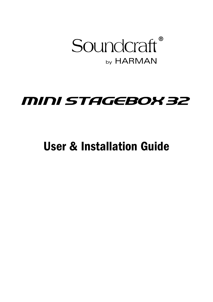by HARMAN Soundcraft®

# MINI STAGEBOX 32

User & Installation Guide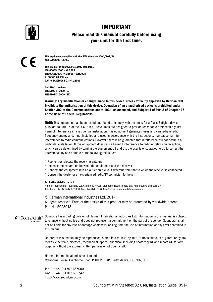

## IMPORTANT

## Please read this manual carefully before using your unit for the first time.

 $\epsilon$ 

**This equipment complies**  This equipment complies with the EMC directive 2004/108/EC **with the EMC Directive**  and LVD 2006/95/EC

**2006/95/EC** This product is approved to safety standards IEC 60065:2005 +A1:2005 EN60065:2006 +A1:2006 + A1:2008 UL60065 7th Edition CAN/CSA-E60065-03 +A1:2006

And EMC standards EN55103-1: 2009 (E2) EN55103-2: 2009 (E2)

Warning: Any modification or changes made to this device, unless explicitly approved by Harman, will invalidate the authorisation of this device. Operation of an unauthorised device is prohibited under Section 302 of the Communications act of 1934, as amended, and Subpart 1 of Part 2 of Chapter 47 of the Code of Federal Regulations.

NOTE: This equipment has been tested and found to comply with the limits for a Class B digital device, pursuant to Part 15 of the FCC Rules. These limits are designed to provide reasonable protection against harmful interference in a residential installation. This equipment generates, uses and can radiate radio frequency energy and, if not installed and used in accordance with the instructions, may cause harmful interference to radio communications. However, there is no guarantee that interference will not occur in a particular installation. If this equipment does cause harmful interference to radio or television reception, which can be determined by turning the equipment off and on, the user is encouraged to try to correct the interference by one or more of the following measures:

- \* Reorient or relocate the receiving antenna
- \* Increase the separation between the equipment and the receiver
- \* Connect the equipment into an outlet on a circuit different from that to which the receiver is connected.
- \* Consult the dealer or an experienced radio/TV technician for help

#### For further details contact

Harman International Industries Ltd, Cranborne House, Cranborne Road, Potters Bar, Hertfordshire EN6 3JN, UK Telephone +44(0) 1707 665000 Fax +44 (0)1707 660742 email: soundcraft@harman.com

© Harman International Industries Ltd. 2014 All rights reserved. Parts of the design of this product may be protected by worldwide patents. Part No. 5028913

by HARMAN  $\bullet$  Soundcraft Soundcraft is a trading division of Harman International Industries Ltd. Information in this manual is subject to change without notice and does not represent a commitment on the part of the vendor. Soundcraft shall not be liable for any loss or damage whatsoever arising from the use of information or any error contained in this manual.

No part of this manual may be reproduced, stored in a retrieval system, or transmitted, in any form or by any means, electronic, electrical, mechanical, optical, chemical, including photocopying and recording, for any purpose without the express written permission of Soundcraft.

Harman International Industries Limited Cranborne House, Cranborne Road, POTTERS BAR, Hertfordshire, EN6 3JN, UK

Tel: +44 (0)1707 665000 Fax: +44 (0)1707 660742 http://www.soundcraft.com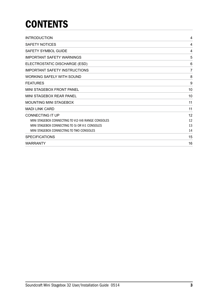# **CONTENTS**

| <b>INTRODUCTION</b>                                |    |
|----------------------------------------------------|----|
| SAFETY NOTICES                                     | 4  |
| <b>SAFETY SYMBOL GUIDE</b>                         | 4  |
| <b>IMPORTANT SAFETY WARNINGS</b>                   | 5  |
| ELECTROSTATIC DISCHARGE (ESD)                      | 6  |
| <b>IMPORTANT SAFETY INSTRUCTIONS</b>               | 7  |
| <b>WORKING SAFELY WITH SOUND</b>                   | 8  |
| <b>FEATURES</b>                                    | 9  |
| <b>MINI STAGEBOX FRONT PANEL</b>                   | 10 |
| MINI STAGEBOX REAR PANEL                           | 10 |
| <b>MOUNTING MINI STAGEBOX</b>                      | 11 |
| <b>MADI LINK CARD</b>                              | 11 |
| <b>CONNECTING IT UP</b>                            | 12 |
| MINI STAGEBOX CONNECTING TO VI2-VI6 RANGE CONSOLES | 12 |
| MINI STAGEBOX CONNECTING TO SI OR VI1 CONSOLES     | 13 |
| MINI STAGEBOX CONNECTING TO TWO CONSOLES           | 14 |
| <b>SPECIFICATIONS</b>                              | 15 |
| <b>WARRANTY</b>                                    | 16 |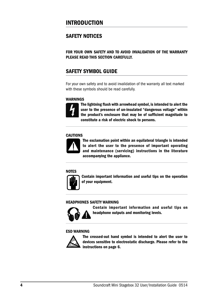# INTRODUCTION

## SAFETY NOTICES

FOR YOUR OWN SAFETY AND TO AVOID INVALIDATION OF THE WARRANTY PLEASE READ THIS SECTION CAREFULLY.

## SAFETY SYMBOL GUIDE

For your own safety and to avoid invalidation of the warranty all text marked with these symbols should be read carefully.

#### WARNINGS



The lightning flash with arrowhead symbol, is intended to alert the user to the presence of un-insulated "dangerous voltage" within the product's enclosure that may be of sufficient magnitude to constitute a risk of electric shock to persons.

#### **CAUTIONS**



The exclamation point within an equilateral triangle is intended to alert the user to the presence of important operating and maintenance (servicing) instructions in the literature accompanying the appliance.

#### **NOTES**



Contain important information and useful tips on the operation of your equipment.

#### HEADPHONES SAFETY WARNING



Contain important information and useful tips on headphone outputs and monitoring levels.

#### ESD WARNING



The crossed-out hand symbol is intended to alert the user to devices sensitive to electrostatic discharge. Please refer to the instructions on page 6.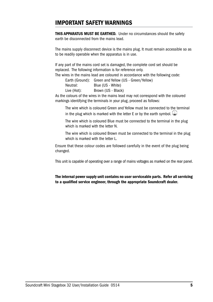## IMPORTANT SAFETY WARNINGS

THIS APPARATUS MUST BE EARTHED. Under no circumstances should the safety earth be disconnected from the mains lead.

The mains supply disconnect device is the mains plug. It must remain accessible so as to be readily operable when the apparatus is in use.

If any part of the mains cord set is damaged, the complete cord set should be replaced. The following information is for reference only.

The wires in the mains lead are coloured in accordance with the following code:

Earth (Ground): Green and Yellow (US - Green/Yellow)

| Neutral:    | Blue (US - White)  |
|-------------|--------------------|
| Live (Hot): | Brown (US - Black) |

As the colours of the wires in the mains lead may not correspond with the coloured markings identifying the terminals in your plug, proceed as follows:

The wire which is coloured Green and Yellow must be connected to the terminal in the plug which is marked with the letter E or by the earth symbol.  $\bigoplus$ 

The wire which is coloured Blue must be connected to the terminal in the plug which is marked with the letter N.

The wire which is coloured Brown must be connected to the terminal in the plug which is marked with the letter L.

Ensure that these colour codes are followed carefully in the event of the plug being changed.

This unit is capable of operating over a range of mains voltages as marked on the rear panel.

The internal power supply unit contains no user serviceable parts. Refer all servicing to a qualified service engineer, through the appropriate Soundcraft dealer.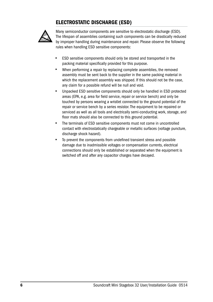## ELECTROSTATIC DISCHARGE (ESD)



Many semiconductor components are sensitive to electrostatic discharge (ESD). The lifespan of assemblies containing such components can be drastically reduced by improper handling during maintenance and repair. Please observe the following rules when handling ESD sensitive components:

- ESD sensitive components should only be stored and transported in the packing material specifically provided for this purpose.
- When performing a repair by replacing complete assemblies, the removed assembly must be sent back to the supplier in the same packing material in which the replacement assembly was shipped. If this should not be the case, any claim for a possible refund will be null and void.
- Unpacked ESD sensitive components should only be handled in ESD protected areas (EPA, e.g. area for field service, repair or service bench) and only be touched by persons wearing a wristlet connected to the ground potential of the repair or service bench by a series resistor. The equipment to be repaired or serviced as well as all tools and electrically semi-conducting work, storage, and floor mats should also be connected to this ground potential.
- The terminals of ESD sensitive components must not come in uncontrolled contact with electrostatically chargeable or metallic surfaces (voltage puncture, discharge shock hazard).
- To prevent the components from undefined transient stress and possible damage due to inadmissible voltages or compensation currents, electrical connections should only be established or separated when the equipment is switched off and after any capacitor charges have decayed.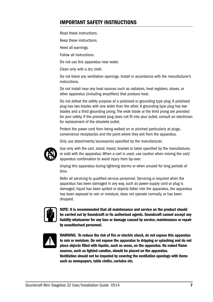## IMPORTANT SAFETY INSTRUCTIONS

Read these instructions.

Keep these instructions.

Heed all warnings.

Follow all instructions.

Do not use this apparatus near water.

Clean only with a dry cloth.

Do not block any ventilation openings. Install in accordance with the manufacturer's **instructions** 

Do not install near any heat sources such as radiators, heat registers, stoves, or other apparatus (including amplifiers) that produce heat.

Do not defeat the safety purpose of a polarised or grounding type plug. A polarised plug has two blades with one wider than the other. A grounding type plug has two blades and a third grounding prong. The wide blade or the third prong are provided for your safety. If the provided plug does not fit into your outlet, consult an electrician for replacement of the obsolete outlet.

Protect the power cord from being walked on or pinched particularly at plugs, convenience receptacles and the point where they exit from the apparatus.

Only use attachments/accessories specified by the manufacturer.



Use only with the cart, stand, tripod, bracket or table specified by the manufacturer, or sold with the apparatus. When a cart is used, use caution when moving the cart/ apparatus combination to avoid injury from tip-over.

Unplug this apparatus during lightning storms or when unused for long periods of time.

Refer all servicing to qualified service personnel. Servicing is required when the apparatus has been damaged in any way, such as power-supply cord or plug is damaged, liquid has been spilled or objects fallen into the apparatus, the apparatus has been exposed to rain or moisture, does not operate normally, or has been dropped.



NOTE: It is recommended that all maintenance and service on the product should be carried out by Soundcraft or its authorised agents. Soundcraft cannot accept any liability whatsoever for any loss or damage caused by service, maintenance or repair by unauthorised personnel.



WARNING: To reduce the risk of fire or electric shock, do not expose this apparatus to rain or moisture. Do not expose the apparatus to dripping or splashing and do not place objects filled with liquids, such as vases, on the apparatus. No naked flame sources, such as lighted candles, should be placed on the apparatus. Ventilation should not be impeded by covering the ventilation openings with items such as newspapers, table cloths, curtains etc.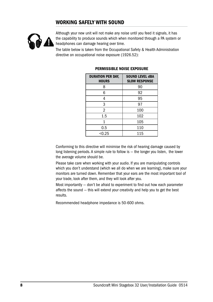## WORKING SAFELY WITH SOUND



Although your new unit will not make any noise until you feed it signals, it has the capability to produce sounds which when monitored through a PA system or headphones can damage hearing over time.

The table below is taken from the Occupational Safety & Health Administration directive on occupational noise exposure (1926.52):

| <b>DURATION PER DAY,</b><br><b>HOURS</b> | <b>SOUND LEVEL dBA</b><br><b>SLOW RESPONSE</b> |
|------------------------------------------|------------------------------------------------|
| 8                                        | 90                                             |
| 6                                        | 92                                             |
| 4                                        | 95                                             |
| 3                                        | 97                                             |
| $\overline{2}$                           | 100                                            |
| 1.5                                      | 102                                            |
| 1                                        | 105                                            |
| 0.5                                      | 110                                            |
| < 0.25                                   | 115                                            |

#### PERMISSIBLE NOISE EXPOSURE

Conforming to this directive will minimise the risk of hearing damage caused by long listening periods. A simple rule to follow is — the longer you listen, the lower the average volume should be.

Please take care when working with your audio. If you are manipulating controls which you don't understand (which we all do when we are learning), make sure your monitors are turned down. Remember that your ears are the most important tool of your trade, look after them, and they will look after you.

Most importantly — don't be afraid to experiment to find out how each parameter affects the sound — this will extend your creativity and help you to get the best results.

Recommended headphone impedance is 50-600 ohms.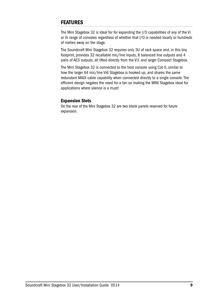## FEATURES

The Mini Stagebox 32 is ideal for for expanding the I/O capabilities of any of the Vi or Si range of consoles regardless of whether that I/O is needed locally or hundreds of metres away on the stage.

The Soundcraft Mini Stagebox 32 requires only 3U of rack space and, in this tiny footprint, provides 32 recallable mic/line inputs, 8 balanced line outputs and 4 pairs of AES outputs, all lifted directly from the Vi1 and larger Compact Stagebox.

The Mini Stagebox 32 is connected to the host console using Cat-5, similar to how the larger 64 mic/line Vi6 Stagebox is hooked up, and shares the same redundant MADI cable capability when connected directly to a single console. The efficient design negates the need for a fan so making the MINI Stagebox ideal for applications where silence is a must!

#### Expansion Slots

On the rear of the Mini Stagebox 32 are two blank panels reserved for future expansion.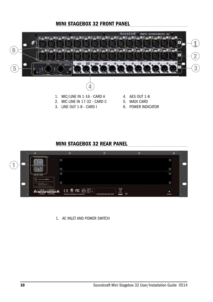## MINI STAGEBOX 32 FRONT PANEL



- 5. MADI CARD
	- 6. POWER INDICATOR

## MINI STAGEBOX 32 REAR PANEL

3. LINE OUT 1-8 - CARD I



1. AC INLET AND POWER SWITCH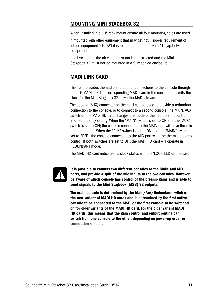## MOUNTING MINI STAGEBOX 32

When installed in a 19" rack mount ensure all four mounting holes are used.

If mounted with other equipment that may get hot (~power requirement of 'other' equipment >100W) it is recommended to leave a 1U gap between the equipment.

In all scenarios, the air vents must not be obstructed and the Mini Stagebox 32 must not be mounted in a fully sealed enclosure.

## MADI LINK CARD

This card provides the audio and control connections to the console through a Cat-5 MADI link. The corresponding MADI card in the console transmits the clock for the Mini Stagebox 32 down the MADI stream.

The second (AUX) connector on the card can be used to provide a redundant connection to the console, or to connect to a second console. The MAIN/AUX switch on the MADI HD card changes the mode of the mic preamp control and redundancy setting. When the "MAIN" switch is set to ON and the "AUX" switch is set to OFF, the console connected to the MAIN port will have the mic preamp control. When the "AUX" switch is set to ON and the "MAIN" switch is set to "OFF", the console connected to the AUX port will have the mic preamp control. If both switches are set to OFF, the MADI HD card will operate in REDUNDANT mode.

The MADI HD card indicates its clock status with the 'LOCK' LED on the card.



It is possible to connect two different consoles to the MAIN and AUX ports, and provide a split of the mic inputs to the two consoles. However, be aware of which console has control of the preamp gains and is able to send signals to the Mini Stagebox (MSB) 32 outputs.

The main console is determined by the Main/Aux/Redundant switch on the new variant of MADI HD cards and is determined by the first active console to be connected to the MSB, or the first console to be switched on for older variants of the MADI HD card. For the older variant MADI HD cards, this means that the gain control and output routing can switch from one console to the other, depending on power-up order or connection sequence.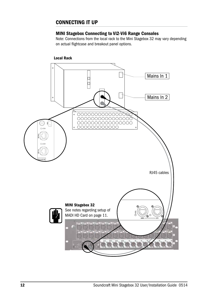## CONNECTING IT UP

#### MINI Stagebox Connecting to Vi2-Vi6 Range Consoles

Note: Connections from the local rack to the Mini Stagebox 32 may vary depending on actual flightcase and breakout panel options.

#### Local Rack

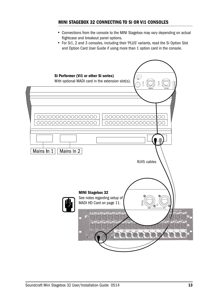### MINI STAGEBOX 32 CONNECTING TO Si OR Vi1 CONSOLES

- Connections from the console to the MINI Stagebox may vary depending on actual flightcase and breakout panel options.
- For Si1, 2 and 3 consoles, including their 'PLUS' variants, read the Si Option Slot and Option Card User Guide if using more than 1 option card in the console.

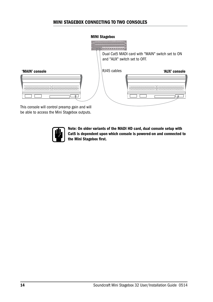### MINI STAGEBOX CONNECTING TO TWO CONSOLES

## MINI Stagebox  $0.0$  interminance Dual Cat5 MADI card with "MAIN" switch set to ON and "AUX" switch set to OFF. RJ45 cables'MAIN' console 'AUX' console 'AUX' console 'AUX' console 'AUX' console 'AUX' console 0000000000000000 0000000000000000 0000000000000000  $\overline{\Omega}$ յեթ

This console will control preamp gain and will be able to access the Mini Stagebox outputs.



Note: On older variants of the MADI HD card, dual console setup with Cat5 is dependent upon which console is powered-on and connected to the Mini Stagebox first.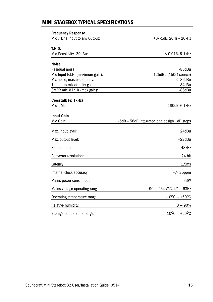## MINI STAGEBOX TYPICAL SPECIFICATIONS

| <b>Frequency Response</b>        |                                             |
|----------------------------------|---------------------------------------------|
| Mic / Line Input to any Output:  | $+0/-1$ dB, 20Hz - 20kHz                    |
| T.H.D.                           |                                             |
| Mic Sensitivity -30dBu:          | < 0.01% @ 1kHz                              |
| <b>Noise</b>                     |                                             |
| Residual noise:                  | $-85dBu$                                    |
| Mic Input E.I.N. (maximum gain): | -125dBu (150 $\Omega$ source)               |
| Mix noise, masters at unity:     | $< -86$ dBu                                 |
| 1 input to mix at unity gain:    | -84dBu                                      |
| CMRR mic @1KHz (max gain):       | -86dBu                                      |
| Crosstalk (@ 1kHz)               |                                             |
| Mic - Mic:                       | <-80dB@1kHz                                 |
| <b>Input Gain</b>                |                                             |
| Mic Gain:                        | -5dB - 58dB integrated pad design 1dB steps |
| Max. input level:                | $+24dBu$                                    |
| Max. output level:               | $+22$ dBu                                   |
| Sample rate:                     | 48kHz                                       |
| Convertor resolution:            | 24 bit                                      |
| Latency:                         | 1.5 <sub>ms</sub>                           |
| Internal clock accuracy:         | $+/- 25$ ppm                                |
| Mains power consumption:         | 33W                                         |
| Mains voltage operating range:   | $90 - 264$ VAC, $47 - 63$ Hz                |
| Operating temperature range:     | $-10^0C - +50^0C$                           |
| Relative humidity:               | $0 - 90%$                                   |
| Storage temperature range:       | $-10^0C - +50^0C$                           |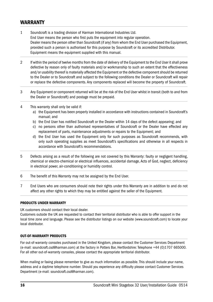## WARRANTY

- 1 Soundcraft is a trading division of Harman International Industries Ltd. End User means the person who first puts the equipment into regular operation. Dealer means the person other than Soundcraft (if any) from whom the End User purchased the Equipment, provided such a person is authorised for this purpose by Soundcraft or its accredited Distributor. Equipment means the equipment supplied with this manual.
- 2 If within the period of twelve months from the date of delivery of the Equipment to the End User it shall prove defective by reason only of faulty materials and/or workmanship to such an extent that the effectiveness and/or usability thereof is materially affected the Equipment or the defective component should be returned to the Dealer or to Soundcraft and subject to the following conditions the Dealer or Soundcraft will repair or replace the defective components. Any components replaced will become the property of Soundcraft.
- 3 Any Equipment or component returned will be at the risk of the End User whilst in transit (both to and from the Dealer or Soundcraft) and postage must be prepaid.
- 4 This warranty shall only be valid if:
	- a) the Equipment has been properly installed in accordance with instructions contained in Soundcraft's manual; and
	- b) the End User has notified Soundcraft or the Dealer within 14 days of the defect appearing; and
	- c) no persons other than authorised representatives of Soundcraft or the Dealer have effected any replacement of parts, maintenance adjustments or repairs to the Equipment; and
	- d) the End User has used the Equipment only for such purposes as Soundcraft recommends, with only such operating supplies as meet Soundcraft's specifications and otherwise in all respects in accordance with Soundcraft's recommendations.
- 5 Defects arising as a result of the following are not covered by this Warranty: faulty or negligent handling, chemical or electro-chemical or electrical influences, accidental damage, Acts of God, neglect, deficiency in electrical power, air-conditioning or humidity control.
- 6 The benefit of this Warranty may not be assigned by the End User.
- 7 End Users who are consumers should note their rights under this Warranty are in addition to and do not affect any other rights to which they may be entitled against the seller of the Equipment.

#### PRODUCTS UNDER WARRANTY

UK customers should contact their local dealer.

Customers outside the UK are requested to contact their territorial distributor who is able to offer support in the local time zone and language. Please see the distributor listings on our website (www.soundcraft.com) to locate your local distributor.

#### OUT-OF-WARRANTY PRODUCTS

For out-of-warranty consoles purchased in the United Kingdom, please contact the Customer Services Department (e-mail: soundcraft.csd@harman.com) at the factory in Potters Bar, Hertfordshire: Telephone +44 (0)1707 665000. For all other out-of-warranty consoles, please contact the appropriate territorial distributor.

When mailing or faxing please remember to give as much information as possible. This should include your name, address and a daytime telephone number. Should you experience any difficulty please contact Customer Services Department (e-mail: soundcraft.csd@harman.com).